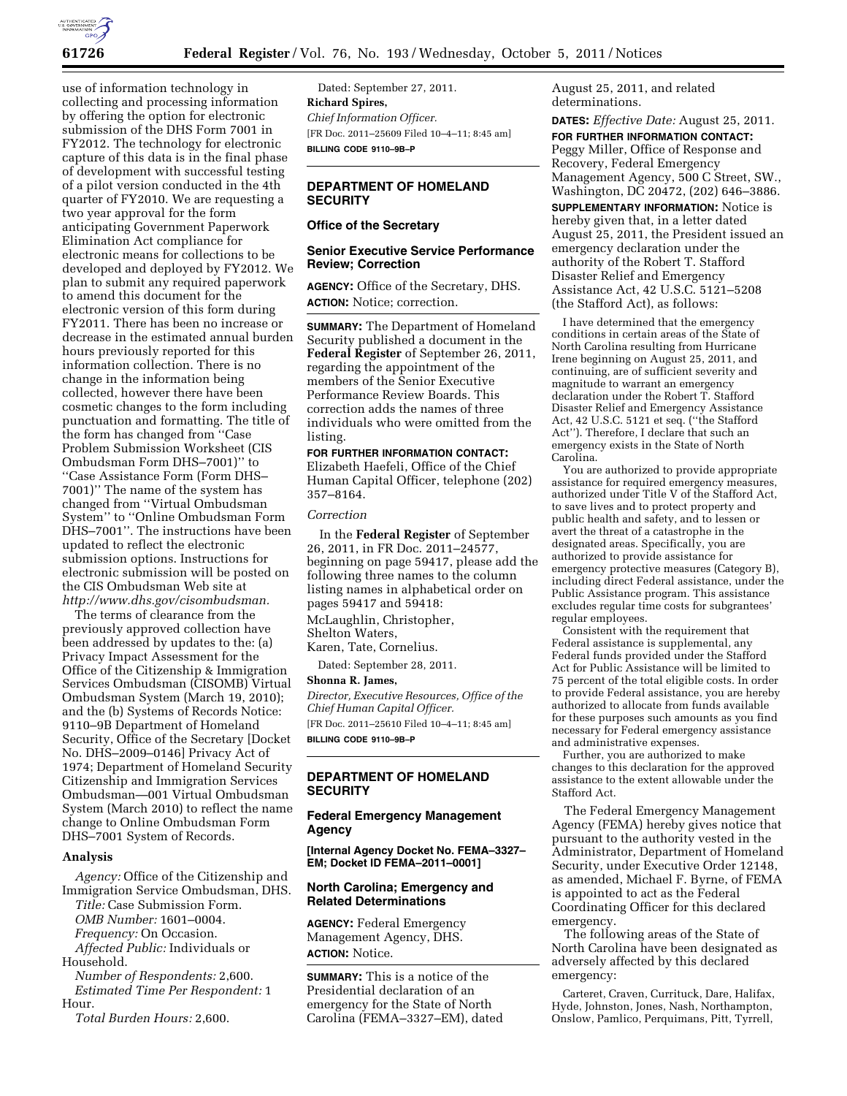

use of information technology in collecting and processing information by offering the option for electronic submission of the DHS Form 7001 in FY2012. The technology for electronic capture of this data is in the final phase of development with successful testing of a pilot version conducted in the 4th quarter of FY2010. We are requesting a two year approval for the form anticipating Government Paperwork Elimination Act compliance for electronic means for collections to be developed and deployed by FY2012. We plan to submit any required paperwork to amend this document for the electronic version of this form during FY2011. There has been no increase or decrease in the estimated annual burden hours previously reported for this information collection. There is no change in the information being collected, however there have been cosmetic changes to the form including punctuation and formatting. The title of the form has changed from ''Case Problem Submission Worksheet (CIS Ombudsman Form DHS–7001)'' to ''Case Assistance Form (Form DHS– 7001)'' The name of the system has changed from ''Virtual Ombudsman System'' to ''Online Ombudsman Form DHS–7001''. The instructions have been updated to reflect the electronic submission options. Instructions for electronic submission will be posted on the CIS Ombudsman Web site at *[http://www.dhs.gov/cisombudsman.](http://www.dhs.gov/cisombudsman)* 

The terms of clearance from the previously approved collection have been addressed by updates to the: (a) Privacy Impact Assessment for the Office of the Citizenship & Immigration Services Ombudsman (CISOMB) Virtual Ombudsman System (March 19, 2010); and the (b) Systems of Records Notice: 9110–9B Department of Homeland Security, Office of the Secretary [Docket No. DHS–2009–0146] Privacy Act of 1974; Department of Homeland Security Citizenship and Immigration Services Ombudsman—001 Virtual Ombudsman System (March 2010) to reflect the name change to Online Ombudsman Form DHS–7001 System of Records.

### **Analysis**

*Agency:* Office of the Citizenship and Immigration Service Ombudsman, DHS.

*Title:* Case Submission Form.

*OMB Number:* 1601–0004. *Frequency:* On Occasion.

*Affected Public:* Individuals or Household.

*Number of Respondents:* 2,600. *Estimated Time Per Respondent:* 1 Hour.

*Total Burden Hours:* 2,600.

Dated: September 27, 2011. **Richard Spires,**  *Chief Information Officer.*  [FR Doc. 2011–25609 Filed 10–4–11; 8:45 am] **BILLING CODE 9110–9B–P** 

# **DEPARTMENT OF HOMELAND SECURITY**

# **Office of the Secretary**

## **Senior Executive Service Performance Review; Correction**

**AGENCY:** Office of the Secretary, DHS. **ACTION:** Notice; correction.

**SUMMARY:** The Department of Homeland Security published a document in the **Federal Register** of September 26, 2011, regarding the appointment of the members of the Senior Executive Performance Review Boards. This correction adds the names of three individuals who were omitted from the listing.

**FOR FURTHER INFORMATION CONTACT:**  Elizabeth Haefeli, Office of the Chief Human Capital Officer, telephone (202) 357–8164.

#### *Correction*

In the **Federal Register** of September 26, 2011, in FR Doc. 2011–24577, beginning on page 59417, please add the following three names to the column listing names in alphabetical order on pages 59417 and 59418: McLaughlin, Christopher, Shelton Waters, Karen, Tate, Cornelius.

Dated: September 28, 2011.

# **Shonna R. James,**

*Director, Executive Resources, Office of the Chief Human Capital Officer.*  [FR Doc. 2011–25610 Filed 10–4–11; 8:45 am] **BILLING CODE 9110–9B–P** 

# **DEPARTMENT OF HOMELAND SECURITY**

## **Federal Emergency Management Agency**

**[Internal Agency Docket No. FEMA–3327– EM; Docket ID FEMA–2011–0001]** 

## **North Carolina; Emergency and Related Determinations**

**AGENCY:** Federal Emergency Management Agency, DHS. **ACTION:** Notice.

**SUMMARY:** This is a notice of the Presidential declaration of an emergency for the State of North Carolina (FEMA–3327–EM), dated August 25, 2011, and related determinations.

**DATES:** *Effective Date:* August 25, 2011.

**FOR FURTHER INFORMATION CONTACT:**  Peggy Miller, Office of Response and Recovery, Federal Emergency Management Agency, 500 C Street, SW., Washington, DC 20472, (202) 646–3886. **SUPPLEMENTARY INFORMATION:** Notice is hereby given that, in a letter dated August 25, 2011, the President issued an emergency declaration under the authority of the Robert T. Stafford Disaster Relief and Emergency Assistance Act, 42 U.S.C. 5121–5208 (the Stafford Act), as follows:

I have determined that the emergency conditions in certain areas of the State of North Carolina resulting from Hurricane Irene beginning on August 25, 2011, and continuing, are of sufficient severity and magnitude to warrant an emergency declaration under the Robert T. Stafford Disaster Relief and Emergency Assistance Act, 42 U.S.C. 5121 et seq. (''the Stafford Act''). Therefore, I declare that such an emergency exists in the State of North Carolina.

You are authorized to provide appropriate assistance for required emergency measures, authorized under Title V of the Stafford Act, to save lives and to protect property and public health and safety, and to lessen or avert the threat of a catastrophe in the designated areas. Specifically, you are authorized to provide assistance for emergency protective measures (Category B), including direct Federal assistance, under the Public Assistance program. This assistance excludes regular time costs for subgrantees' regular employees.

Consistent with the requirement that Federal assistance is supplemental, any Federal funds provided under the Stafford Act for Public Assistance will be limited to 75 percent of the total eligible costs. In order to provide Federal assistance, you are hereby authorized to allocate from funds available for these purposes such amounts as you find necessary for Federal emergency assistance and administrative expenses.

Further, you are authorized to make changes to this declaration for the approved assistance to the extent allowable under the Stafford Act.

The Federal Emergency Management Agency (FEMA) hereby gives notice that pursuant to the authority vested in the Administrator, Department of Homeland Security, under Executive Order 12148, as amended, Michael F. Byrne, of FEMA is appointed to act as the Federal Coordinating Officer for this declared emergency.

The following areas of the State of North Carolina have been designated as adversely affected by this declared emergency:

Carteret, Craven, Currituck, Dare, Halifax, Hyde, Johnston, Jones, Nash, Northampton, Onslow, Pamlico, Perquimans, Pitt, Tyrrell,